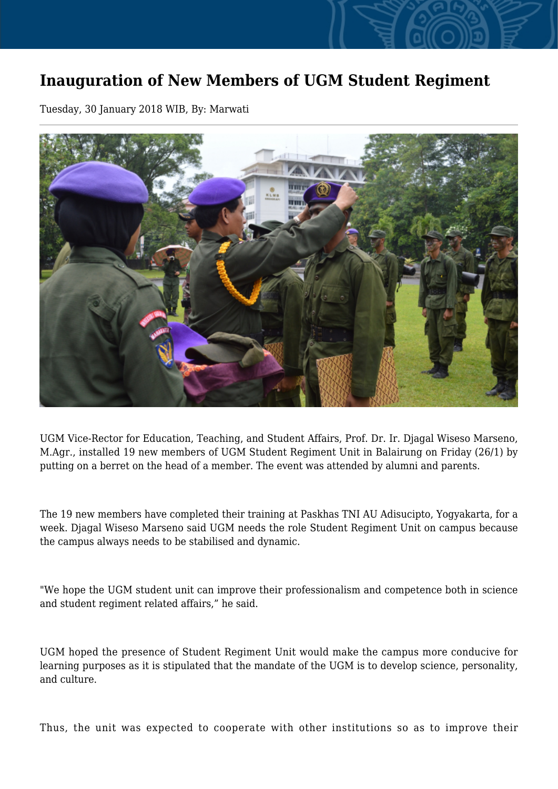## **Inauguration of New Members of UGM Student Regiment**

Tuesday, 30 January 2018 WIB, By: Marwati



UGM Vice-Rector for Education, Teaching, and Student Affairs, Prof. Dr. Ir. Djagal Wiseso Marseno, M.Agr., installed 19 new members of UGM Student Regiment Unit in Balairung on Friday (26/1) by putting on a berret on the head of a member. The event was attended by alumni and parents.

The 19 new members have completed their training at Paskhas TNI AU Adisucipto, Yogyakarta, for a week. Djagal Wiseso Marseno said UGM needs the role Student Regiment Unit on campus because the campus always needs to be stabilised and dynamic.

"We hope the UGM student unit can improve their professionalism and competence both in science and student regiment related affairs," he said.

UGM hoped the presence of Student Regiment Unit would make the campus more conducive for learning purposes as it is stipulated that the mandate of the UGM is to develop science, personality, and culture.

Thus, the unit was expected to cooperate with other institutions so as to improve their